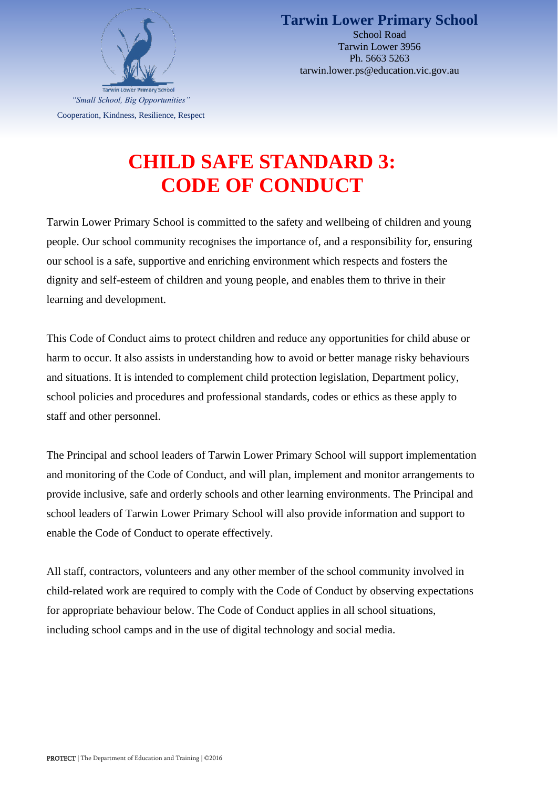

**Tarwin Lower Primary School** School Road Tarwin Lower 3956 Ph. 5663 5263 tarwin.lower.ps@education.vic.gov.au

## **CHILD SAFE STANDARD 3: CODE OF CONDUCT**

Tarwin Lower Primary School is committed to the safety and wellbeing of children and young people. Our school community recognises the importance of, and a responsibility for, ensuring our school is a safe, supportive and enriching environment which respects and fosters the dignity and self-esteem of children and young people, and enables them to thrive in their learning and development.

This Code of Conduct aims to protect children and reduce any opportunities for child abuse or harm to occur. It also assists in understanding how to avoid or better manage risky behaviours and situations. It is intended to complement child protection legislation, Department policy, school policies and procedures and professional standards, codes or ethics as these apply to staff and other personnel.

The Principal and school leaders of Tarwin Lower Primary School will support implementation and monitoring of the Code of Conduct, and will plan, implement and monitor arrangements to provide inclusive, safe and orderly schools and other learning environments. The Principal and school leaders of Tarwin Lower Primary School will also provide information and support to enable the Code of Conduct to operate effectively.

All staff, contractors, volunteers and any other member of the school community involved in child-related work are required to comply with the Code of Conduct by observing expectations for appropriate behaviour below. The Code of Conduct applies in all school situations, including school camps and in the use of digital technology and social media.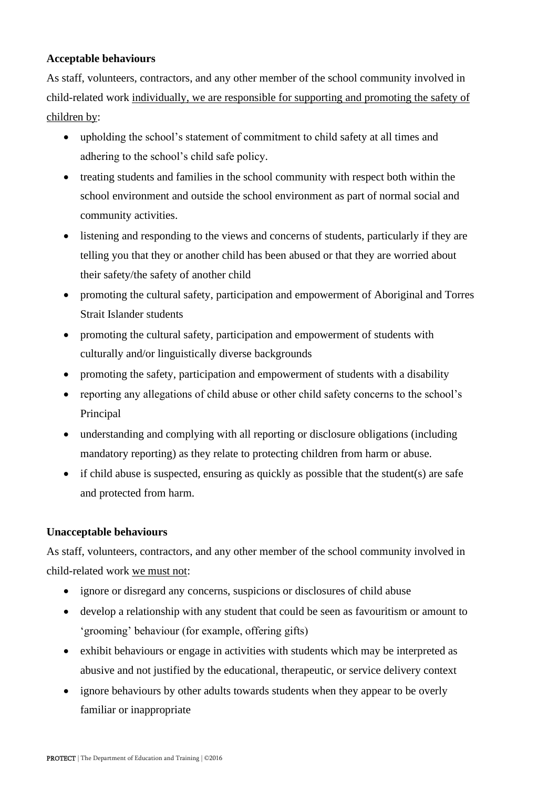## **Acceptable behaviours**

As staff, volunteers, contractors, and any other member of the school community involved in child-related work individually, we are responsible for supporting and promoting the safety of children by:

- upholding the school's statement of commitment to child safety at all times and adhering to the school's child safe policy.
- treating students and families in the school community with respect both within the school environment and outside the school environment as part of normal social and community activities.
- listening and responding to the views and concerns of students, particularly if they are telling you that they or another child has been abused or that they are worried about their safety/the safety of another child
- promoting the cultural safety, participation and empowerment of Aboriginal and Torres Strait Islander students
- promoting the cultural safety, participation and empowerment of students with culturally and/or linguistically diverse backgrounds
- promoting the safety, participation and empowerment of students with a disability
- reporting any allegations of child abuse or other child safety concerns to the school's Principal
- understanding and complying with all reporting or disclosure obligations (including mandatory reporting) as they relate to protecting children from harm or abuse.
- if child abuse is suspected, ensuring as quickly as possible that the student(s) are safe and protected from harm.

## **Unacceptable behaviours**

As staff, volunteers, contractors, and any other member of the school community involved in child-related work we must not:

- ignore or disregard any concerns, suspicions or disclosures of child abuse
- develop a relationship with any student that could be seen as favouritism or amount to 'grooming' behaviour (for example, offering gifts)
- exhibit behaviours or engage in activities with students which may be interpreted as abusive and not justified by the educational, therapeutic, or service delivery context
- ignore behaviours by other adults towards students when they appear to be overly familiar or inappropriate